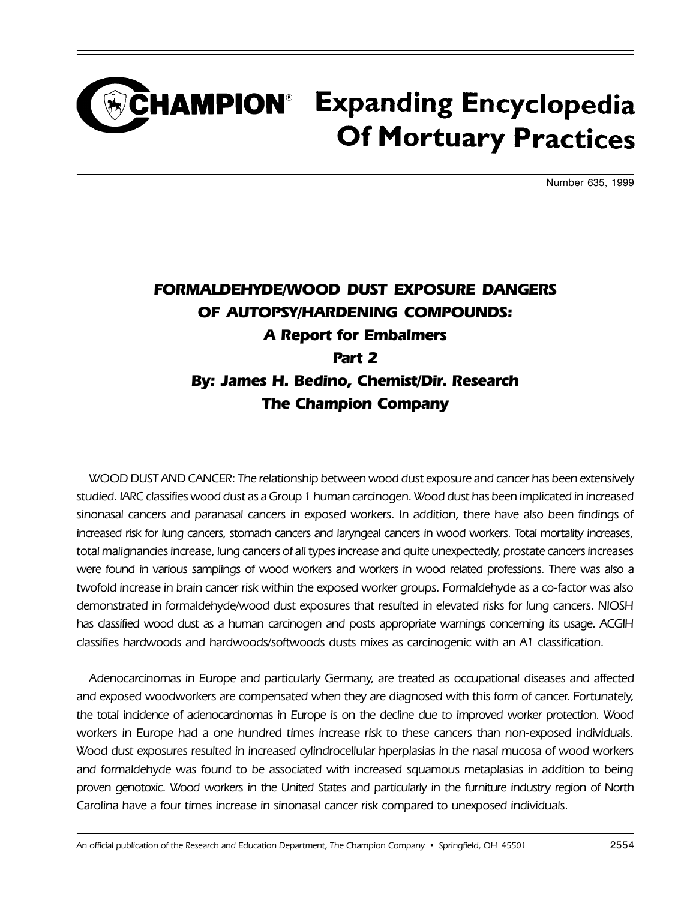## **CHAMPION**<sup>®</sup> Expanding Encyclopedia **Of Mortuary Practices**

Number 635, 1999

## FORMALDEHYDE/WOOD DUST EXPOSURE DANGERS OF AUTOPSY/HARDENING COMPOUNDS: A Report for Embalmers Part 2 By: James H. Bedino, Chemist/Dir. Research The Champion Company

WOOD DUST AND CANCER: The relationship between wood dust exposure and cancer has been extensively studied. IARC classifies wood dust as a Group 1 human carcinogen. Wood dust has been implicated in increased sinonasal cancers and paranasal cancers in exposed workers. In addition, there have also been findings of increased risk for lung cancers, stomach cancers and laryngeal cancers in wood workers. Total mortality increases, total malignancies increase, lung cancers of all types increase and quite unexpectedly, prostate cancers increases were found in various samplings of wood workers and workers in wood related professions. There was also a twofold increase in brain cancer risk within the exposed worker groups. Formaldehyde as a co-factor was also demonstrated in formaldehyde/wood dust exposures that resulted in elevated risks for lung cancers. NIOSH has classified wood dust as a human carcinogen and posts appropriate warnings concerning its usage. ACGIH classifies hardwoods and hardwoods/softwoods dusts mixes as carcinogenic with an A1 classification.

Adenocarcinomas in Europe and particularly Germany, are treated as occupational diseases and affected and exposed woodworkers are compensated when they are diagnosed with this form of cancer. Fortunately, the total incidence of adenocarcinomas in Europe is on the decline due to improved worker protection. Wood workers in Europe had a one hundred times increase risk to these cancers than non-exposed individuals. Wood dust exposures resulted in increased cylindrocellular hperplasias in the nasal mucosa of wood workers and formaldehyde was found to be associated with increased squamous metaplasias in addition to being proven genotoxic. Wood workers in the United States and particularly in the furniture industry region of North Carolina have a four times increase in sinonasal cancer risk compared to unexposed individuals.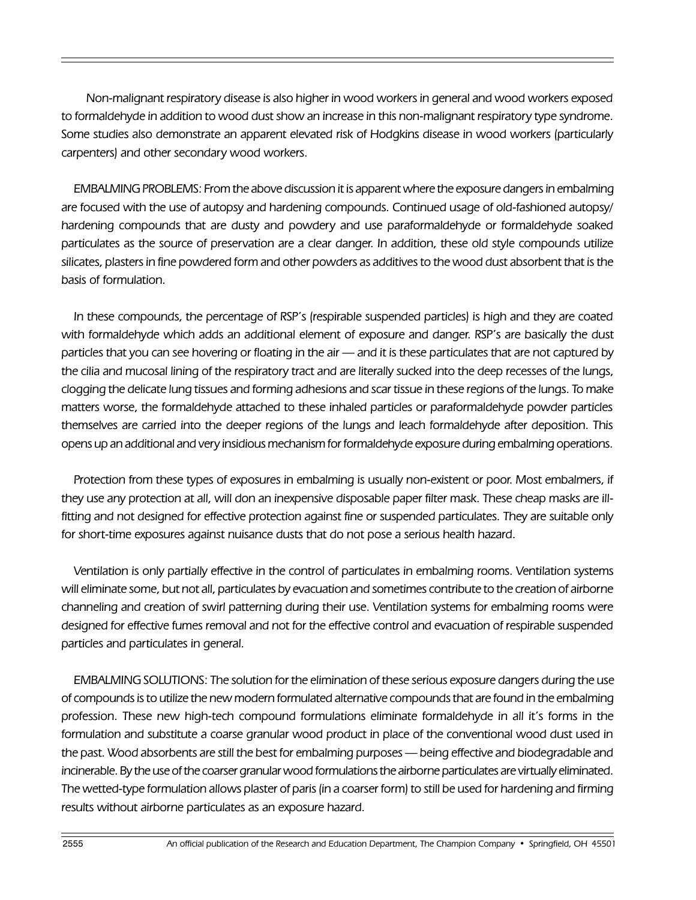Non-malignant respiratory disease is also higher in wood workers in general and wood workers exposed to formaldehyde in addition to wood dust show an increase in this non-malignant respiratory type syndrome. Some studies also demonstrate an apparent elevated risk of Hodgkins disease in wood workers (particularly carpenters) and other secondary wood workers.

EMBALMING PROBLEMS: From the above discussion it is apparent where the exposure dangers in embalming are focused with the use of autopsy and hardening compounds. Continued usage of old-fashioned autopsy/ hardening compounds that are dusty and powdery and use paraformaldehyde or formaldehyde soaked particulates as the source of preservation are a clear danger. In addition, these old style compounds utilize silicates, plasters in fine powdered form and other powders as additives to the wood dust absorbent that is the basis of formulation.

In these compounds, the percentage of RSP's (respirable suspended particles) is high and they are coated with formaldehyde which adds an additional element of exposure and danger. RSP's are basically the dust particles that you can see hovering or floating in the air — and it is these particulates that are not captured by the cilia and mucosal lining of the respiratory tract and are literally sucked into the deep recesses of the lungs, clogging the delicate lung tissues and forming adhesions and scar tissue in these regions of the lungs. To make matters worse, the formaldehyde attached to these inhaled particles or paraformaldehyde powder particles themselves are carried into the deeper regions of the lungs and leach formaldehyde after deposition. This opens up an additional and very insidious mechanism for formaldehyde exposure during embalming operations.

Protection from these types of exposures in embalming is usually non-existent or poor. Most embalmers, if they use any protection at all, will don an inexpensive disposable paper filter mask. These cheap masks are illfitting and not designed for effective protection against fine or suspended particulates. They are suitable only for short-time exposures against nuisance dusts that do not pose a serious health hazard.

Ventilation is only partially effective in the control of particulates in embalming rooms. Ventilation systems will eliminate some, but not all, particulates by evacuation and sometimes contribute to the creation of airborne channeling and creation of swirl patterning during their use. Ventilation systems for embalming rooms were designed for effective fumes removal and not for the effective control and evacuation of respirable suspended particles and particulates in general.

EMBALMING SOLUTIONS: The solution for the elimination of these serious exposure dangers during the use of compounds is to utilize the new modern formulated alternative compounds that are found in the embalming profession. These new high-tech compound formulations eliminate formaldehyde in all it's forms in the formulation and substitute a coarse granular wood product in place of the conventional wood dust used in the past. Wood absorbents are still the best for embalming purposes — being effective and biodegradable and incinerable. By the use of the coarser granular wood formulations the airborne particulates are virtually eliminated. The wetted-type formulation allows plaster of paris (in a coarser form) to still be used for hardening and firming results without airborne particulates as an exposure hazard.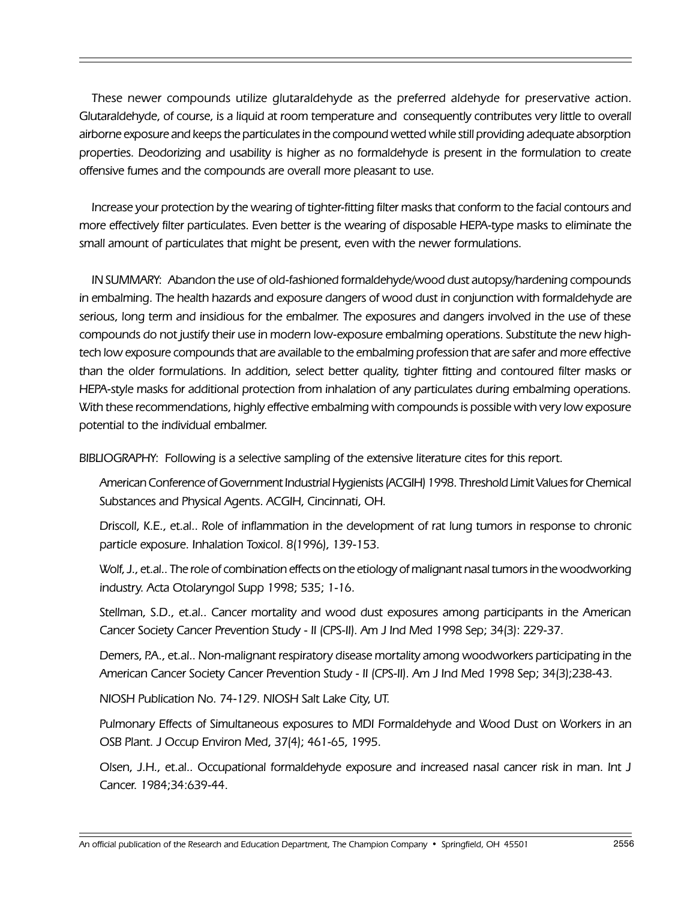These newer compounds utilize glutaraldehyde as the preferred aldehyde for preservative action. Glutaraldehyde, of course, is a liquid at room temperature and consequently contributes very little to overall airborne exposure and keeps the particulates in the compound wetted while still providing adequate absorption properties. Deodorizing and usability is higher as no formaldehyde is present in the formulation to create offensive fumes and the compounds are overall more pleasant to use.

Increase your protection by the wearing of tighter-fitting filter masks that conform to the facial contours and more effectively filter particulates. Even better is the wearing of disposable HEPA-type masks to eliminate the small amount of particulates that might be present, even with the newer formulations.

IN SUMMARY: Abandon the use of old-fashioned formaldehyde/wood dust autopsy/hardening compounds in embalming. The health hazards and exposure dangers of wood dust in conjunction with formaldehyde are serious, long term and insidious for the embalmer. The exposures and dangers involved in the use of these compounds do not justify their use in modern low-exposure embalming operations. Substitute the new hightech low exposure compounds that are available to the embalming profession that are safer and more effective than the older formulations. In addition, select better quality, tighter fitting and contoured filter masks or HEPA-style masks for additional protection from inhalation of any particulates during embalming operations. With these recommendations, highly effective embalming with compounds is possible with very low exposure potential to the individual embalmer.

BIBLIOGRAPHY: Following is a selective sampling of the extensive literature cites for this report.

American Conference of Government Industrial Hygienists (ACGIH) 1998. Threshold Limit Values for Chemical Substances and Physical Agents. ACGIH, Cincinnati, OH.

Driscoll, K.E., et.al.. Role of inflammation in the development of rat lung tumors in response to chronic particle exposure. Inhalation Toxicol. 8(1996), 139-153.

Wolf, J., et.al.. The role of combination effects on the etiology of malignant nasal tumors in the woodworking industry. Acta Otolaryngol Supp 1998; 535; 1-16.

Stellman, S.D., et.al.. Cancer mortality and wood dust exposures among participants in the American Cancer Society Cancer Prevention Study - II (CPS-II). Am J Ind Med 1998 Sep; 34(3): 229-37.

Demers, P.A., et.al.. Non-malignant respiratory disease mortality among woodworkers participating in the American Cancer Society Cancer Prevention Study - II (CPS-II). Am J Ind Med 1998 Sep; 34(3);238-43.

NIOSH Publication No. 74-129. NIOSH Salt Lake City, UT.

Pulmonary Effects of Simultaneous exposures to MDI Formaldehyde and Wood Dust on Workers in an OSB Plant. J Occup Environ Med, 37(4); 461-65, 1995.

Olsen, J.H., et.al.. Occupational formaldehyde exposure and increased nasal cancer risk in man. Int J Cancer. 1984;34:639-44.